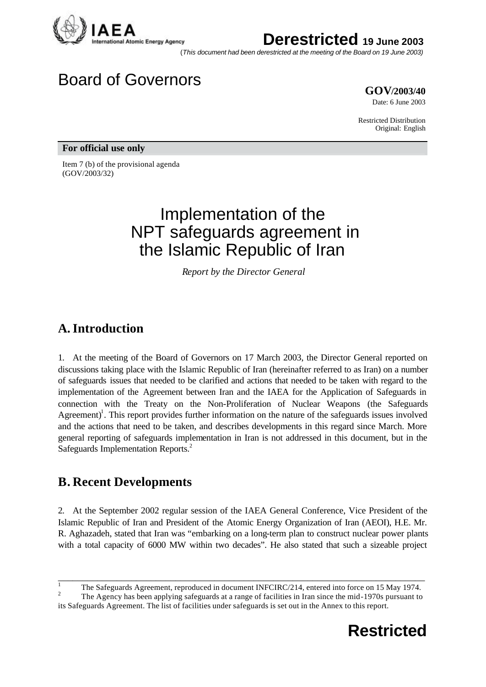

**Derestricted 19 June 2003**

(*This document had been derestricted at the meeting of the Board on 19 June 2003)*

# Board of Governors

**GOV/2003/40**

Date: 6 June 2003

Restricted Distribution Original: English

**For official use only**

Item 7 (b) of the provisional agenda (GOV/2003/32)

# Implementation of the NPT safeguards agreement in the Islamic Republic of Iran

*Report by the Director General*

# **A.Introduction**

1. At the meeting of the Board of Governors on 17 March 2003, the Director General reported on discussions taking place with the Islamic Republic of Iran (hereinafter referred to as Iran) on a number of safeguards issues that needed to be clarified and actions that needed to be taken with regard to the implementation of the Agreement between Iran and the IAEA for the Application of Safeguards in connection with the Treaty on the Non-Proliferation of Nuclear Weapons (the Safeguards Agreement)<sup>1</sup>. This report provides further information on the nature of the safeguards issues involved and the actions that need to be taken, and describes developments in this regard since March. More general reporting of safeguards implementation in Iran is not addressed in this document, but in the Safeguards Implementation Reports.<sup>2</sup>

# **B. Recent Developments**

2. At the September 2002 regular session of the IAEA General Conference, Vice President of the Islamic Republic of Iran and President of the Atomic Energy Organization of Iran (AEOI), H.E. Mr. R. Aghazadeh, stated that Iran was "embarking on a long-term plan to construct nuclear power plants with a total capacity of 6000 MW within two decades". He also stated that such a sizeable project

The Agency has been applying safeguards at a range of facilities in Iran since the mid-1970s pursuant to its Safeguards Agreement. The list of facilities under safeguards is set out in the Annex to this report.



\_\_\_\_\_\_\_\_\_\_\_\_\_\_\_\_\_\_\_\_\_\_\_\_\_\_\_\_\_\_\_\_\_\_\_\_\_\_\_\_\_\_\_\_\_\_\_\_\_\_\_\_\_\_\_\_\_\_\_\_\_\_\_\_\_\_\_\_\_\_\_\_\_\_\_  $\overline{1}$ The Safeguards Agreement, reproduced in document INFCIRC/214, entered into force on 15 May 1974. 2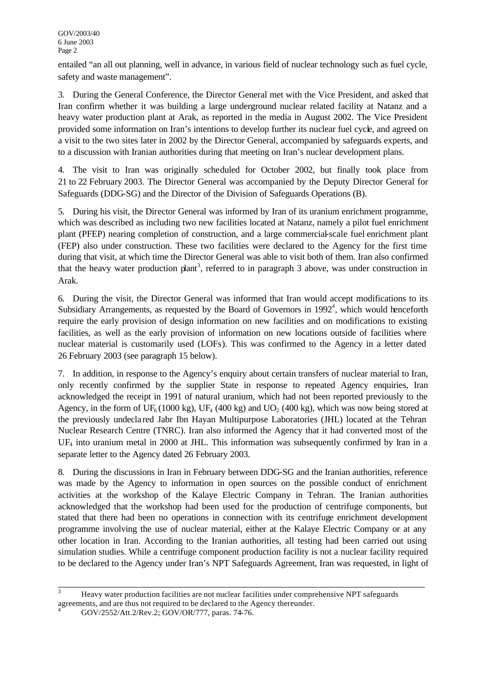entailed "an all out planning, well in advance, in various field of nuclear technology such as fuel cycle, safety and waste management".

3. During the General Conference, the Director General met with the Vice President, and asked that Iran confirm whether it was building a large underground nuclear related facility at Natanz and a heavy water production plant at Arak, as reported in the media in August 2002. The Vice President provided some information on Iran's intentions to develop further its nuclear fuel cycle, and agreed on a visit to the two sites later in 2002 by the Director General, accompanied by safeguards experts, and to a discussion with Iranian authorities during that meeting on Iran's nuclear development plans.

4. The visit to Iran was originally scheduled for October 2002, but finally took place from 21 to 22 February 2003. The Director General was accompanied by the Deputy Director General for Safeguards (DDG-SG) and the Director of the Division of Safeguards Operations (B).

5. During his visit, the Director General was informed by Iran of its uranium enrichment programme, which was described as including two new facilities located at Natanz, namely a pilot fuel enrichment plant (PFEP) nearing completion of construction, and a large commercial-scale fuel enrichment plant (FEP) also under construction. These two facilities were declared to the Agency for the first time during that visit, at which time the Director General was able to visit both of them. Iran also confirmed that the heavy water production plant<sup>3</sup>, referred to in paragraph 3 above, was under construction in Arak.

6. During the visit, the Director General was informed that Iran would accept modifications to its Subsidiary Arrangements, as requested by the Board of Governors in  $1992<sup>4</sup>$ , which would henceforth require the early provision of design information on new facilities and on modifications to existing facilities, as well as the early provision of information on new locations outside of facilities where nuclear material is customarily used (LOFs). This was confirmed to the Agency in a letter dated 26 February 2003 (see paragraph 15 below).

7. In addition, in response to the Agency's enquiry about certain transfers of nuclear material to Iran, only recently confirmed by the supplier State in response to repeated Agency enquiries, Iran acknowledged the receipt in 1991 of natural uranium, which had not been reported previously to the Agency, in the form of  $UF_6(1000 \text{ kg})$ ,  $UF_4(400 \text{ kg})$  and  $UO_2(400 \text{ kg})$ , which was now being stored at the previously undecla red Jabr Ibn Hayan Multipurpose Laboratories (JHL) located at the Tehran Nuclear Research Centre (TNRC). Iran also informed the Agency that it had converted most of the  $UF_4$  into uranium metal in 2000 at JHL. This information was subsequently confirmed by Iran in a separate letter to the Agency dated 26 February 2003.

8. During the discussions in Iran in February between DDG-SG and the Iranian authorities, reference was made by the Agency to information in open sources on the possible conduct of enrichment activities at the workshop of the Kalaye Electric Company in Tehran. The Iranian authorities acknowledged that the workshop had been used for the production of centrifuge components, but stated that there had been no operations in connection with its centrifuge enrichment development programme involving the use of nuclear material, either at the Kalaye Electric Company or at any other location in Iran. According to the Iranian authorities, all testing had been carried out using simulation studies. While a centrifuge component production facility is not a nuclear facility required to be declared to the Agency under Iran's NPT Safeguards Agreement, Iran was requested, in light of

\_\_\_\_\_\_\_\_\_\_\_\_\_\_\_\_\_\_\_\_\_\_\_\_\_\_\_\_\_\_\_\_\_\_\_\_\_\_\_\_\_\_\_\_\_\_\_\_\_\_\_\_\_\_\_\_\_\_\_\_\_\_\_\_\_\_\_\_\_\_\_\_\_\_\_

 $\frac{3}{3}$  Heavy water production facilities are not nuclear facilities under comprehensive NPT safeguards agreements, and are thus not required to be declared to the Agency thereunder.

<sup>4</sup> GOV/2552/Att.2/Rev.2; GOV/OR/777, paras. 74-76.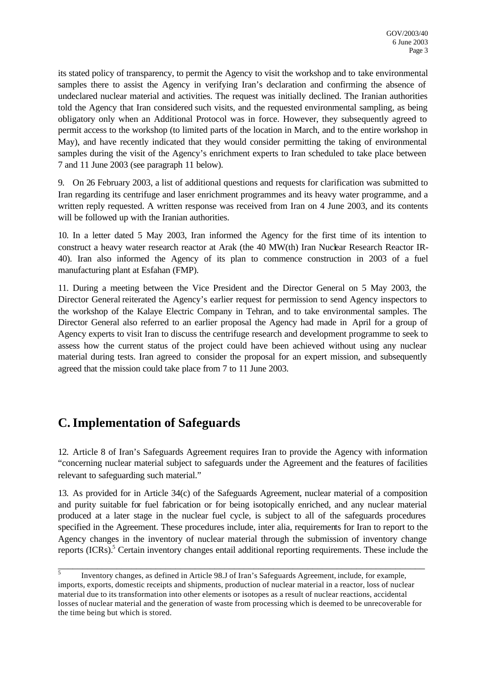its stated policy of transparency, to permit the Agency to visit the workshop and to take environmental samples there to assist the Agency in verifying Iran's declaration and confirming the absence of undeclared nuclear material and activities. The request was initially declined. The Iranian authorities told the Agency that Iran considered such visits, and the requested environmental sampling, as being obligatory only when an Additional Protocol was in force. However, they subsequently agreed to permit access to the workshop (to limited parts of the location in March, and to the entire workshop in May), and have recently indicated that they would consider permitting the taking of environmental samples during the visit of the Agency's enrichment experts to Iran scheduled to take place between 7 and 11 June 2003 (see paragraph 11 below).

9. On 26 February 2003, a list of additional questions and requests for clarification was submitted to Iran regarding its centrifuge and laser enrichment programmes and its heavy water programme, and a written reply requested. A written response was received from Iran on 4 June 2003, and its contents will be followed up with the Iranian authorities.

10. In a letter dated 5 May 2003, Iran informed the Agency for the first time of its intention to construct a heavy water research reactor at Arak (the 40 MW(th) Iran Nuclear Research Reactor IR-40). Iran also informed the Agency of its plan to commence construction in 2003 of a fuel manufacturing plant at Esfahan (FMP).

11. During a meeting between the Vice President and the Director General on 5 May 2003, the Director General reiterated the Agency's earlier request for permission to send Agency inspectors to the workshop of the Kalaye Electric Company in Tehran, and to take environmental samples. The Director General also referred to an earlier proposal the Agency had made in April for a group of Agency experts to visit Iran to discuss the centrifuge research and development programme to seek to assess how the current status of the project could have been achieved without using any nuclear material during tests. Iran agreed to consider the proposal for an expert mission, and subsequently agreed that the mission could take place from 7 to 11 June 2003.

# **C.Implementation of Safeguards**

12. Article 8 of Iran's Safeguards Agreement requires Iran to provide the Agency with information "concerning nuclear material subject to safeguards under the Agreement and the features of facilities relevant to safeguarding such material."

13. As provided for in Article 34(c) of the Safeguards Agreement, nuclear material of a composition and purity suitable for fuel fabrication or for being isotopically enriched, and any nuclear material produced at a later stage in the nuclear fuel cycle, is subject to all of the safeguards procedures specified in the Agreement. These procedures include, inter alia, requirements for Iran to report to the Agency changes in the inventory of nuclear material through the submission of inventory change reports (ICRs).<sup>5</sup> Certain inventory changes entail additional reporting requirements. These include the

\_\_\_\_\_\_\_\_\_\_\_\_\_\_\_\_\_\_\_\_\_\_\_\_\_\_\_\_\_\_\_\_\_\_\_\_\_\_\_\_\_\_\_\_\_\_\_\_\_\_\_\_\_\_\_\_\_\_\_\_\_\_\_\_\_\_\_\_\_\_\_\_\_\_\_

<sup>5</sup> Inventory changes, as defined in Article 98.J of Iran's Safeguards Agreement, include, for example, imports, exports, domestic receipts and shipments, production of nuclear material in a reactor, loss of nuclear material due to its transformation into other elements or isotopes as a result of nuclear reactions, accidental losses of nuclear material and the generation of waste from processing which is deemed to be unrecoverable for the time being but which is stored.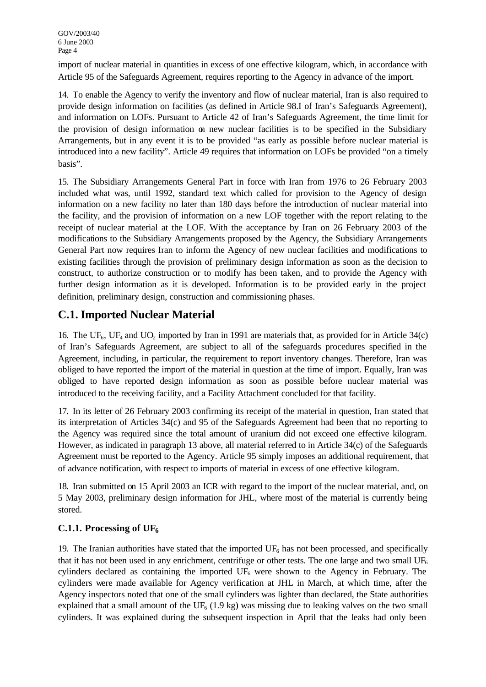import of nuclear material in quantities in excess of one effective kilogram, which, in accordance with Article 95 of the Safeguards Agreement, requires reporting to the Agency in advance of the import.

14. To enable the Agency to verify the inventory and flow of nuclear material, Iran is also required to provide design information on facilities (as defined in Article 98.I of Iran's Safeguards Agreement), and information on LOFs. Pursuant to Article 42 of Iran's Safeguards Agreement, the time limit for the provision of design information on new nuclear facilities is to be specified in the Subsidiary Arrangements, but in any event it is to be provided "as early as possible before nuclear material is introduced into a new facility". Article 49 requires that information on LOFs be provided "on a timely basis".

15. The Subsidiary Arrangements General Part in force with Iran from 1976 to 26 February 2003 included what was, until 1992, standard text which called for provision to the Agency of design information on a new facility no later than 180 days before the introduction of nuclear material into the facility, and the provision of information on a new LOF together with the report relating to the receipt of nuclear material at the LOF. With the acceptance by Iran on 26 February 2003 of the modifications to the Subsidiary Arrangements proposed by the Agency, the Subsidiary Arrangements General Part now requires Iran to inform the Agency of new nuclear facilities and modifications to existing facilities through the provision of preliminary design information as soon as the decision to construct, to authorize construction or to modify has been taken, and to provide the Agency with further design information as it is developed. Information is to be provided early in the project definition, preliminary design, construction and commissioning phases.

## **C.1. Imported Nuclear Material**

16. The UF<sub>6</sub>, UF<sub>4</sub> and UO<sub>2</sub> imported by Iran in 1991 are materials that, as provided for in Article  $34(c)$ of Iran's Safeguards Agreement, are subject to all of the safeguards procedures specified in the Agreement, including, in particular, the requirement to report inventory changes. Therefore, Iran was obliged to have reported the import of the material in question at the time of import. Equally, Iran was obliged to have reported design information as soon as possible before nuclear material was introduced to the receiving facility, and a Facility Attachment concluded for that facility.

17. In its letter of 26 February 2003 confirming its receipt of the material in question, Iran stated that its interpretation of Articles 34(c) and 95 of the Safeguards Agreement had been that no reporting to the Agency was required since the total amount of uranium did not exceed one effective kilogram. However, as indicated in paragraph 13 above, all material referred to in Article 34(c) of the Safeguards Agreement must be reported to the Agency. Article 95 simply imposes an additional requirement, that of advance notification, with respect to imports of material in excess of one effective kilogram.

18. Iran submitted on 15 April 2003 an ICR with regard to the import of the nuclear material, and, on 5 May 2003, preliminary design information for JHL, where most of the material is currently being stored.

#### **C.1.1. Processing of UF<sup>6</sup>**

19. The Iranian authorities have stated that the imported  $UF<sub>6</sub>$  has not been processed, and specifically that it has not been used in any enrichment, centrifuge or other tests. The one large and two small  $UF<sub>6</sub>$ cylinders declared as containing the imported  $UF<sub>6</sub>$  were shown to the Agency in February. The cylinders were made available for Agency verification at JHL in March, at which time, after the Agency inspectors noted that one of the small cylinders was lighter than declared, the State authorities explained that a small amount of the  $UF_6$  (1.9 kg) was missing due to leaking valves on the two small cylinders. It was explained during the subsequent inspection in April that the leaks had only been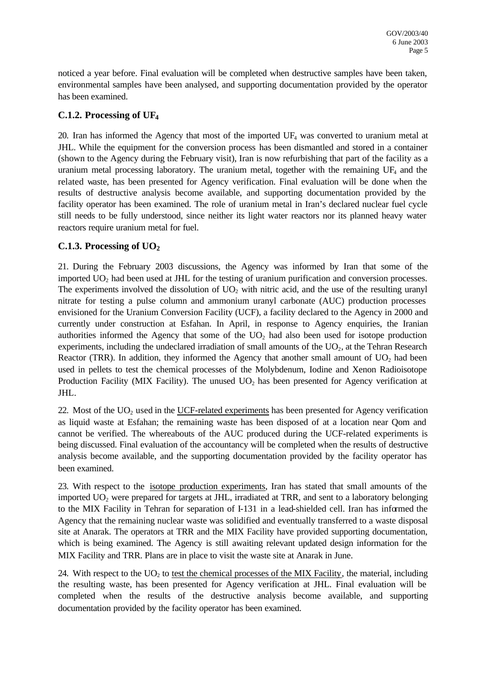noticed a year before. Final evaluation will be completed when destructive samples have been taken, environmental samples have been analysed, and supporting documentation provided by the operator has been examined.

#### **C.1.2. Processing of UF<sup>4</sup>**

20. Iran has informed the Agency that most of the imported UF<sub>4</sub> was converted to uranium metal at JHL. While the equipment for the conversion process has been dismantled and stored in a container (shown to the Agency during the February visit), Iran is now refurbishing that part of the facility as a uranium metal processing laboratory. The uranium metal, together with the remaining  $UF_4$  and the related waste, has been presented for Agency verification. Final evaluation will be done when the results of destructive analysis become available, and supporting documentation provided by the facility operator has been examined. The role of uranium metal in Iran's declared nuclear fuel cycle still needs to be fully understood, since neither its light water reactors nor its planned heavy water reactors require uranium metal for fuel.

#### **C.1.3. Processing of UO<sup>2</sup>**

21. During the February 2003 discussions, the Agency was informed by Iran that some of the imported  $UO<sub>2</sub>$  had been used at JHL for the testing of uranium purification and conversion processes. The experiments involved the dissolution of  $UO<sub>2</sub>$  with nitric acid, and the use of the resulting uranyl nitrate for testing a pulse column and ammonium uranyl carbonate (AUC) production processes envisioned for the Uranium Conversion Facility (UCF), a facility declared to the Agency in 2000 and currently under construction at Esfahan. In April, in response to Agency enquiries, the Iranian authorities informed the Agency that some of the  $UO<sub>2</sub>$  had also been used for isotope production experiments, including the undeclared irradiation of small amounts of the  $UO<sub>2</sub>$ , at the Tehran Research Reactor (TRR). In addition, they informed the Agency that another small amount of  $UO<sub>2</sub>$  had been used in pellets to test the chemical processes of the Molybdenum, Iodine and Xenon Radioisotope Production Facility (MIX Facility). The unused  $UO<sub>2</sub>$  has been presented for Agency verification at JHL.

22. Most of the  $UO<sub>2</sub>$  used in the UCF-related experiments has been presented for Agency verification as liquid waste at Esfahan; the remaining waste has been disposed of at a location near Qom and cannot be verified. The whereabouts of the AUC produced during the UCF-related experiments is being discussed. Final evaluation of the accountancy will be completed when the results of destructive analysis become available, and the supporting documentation provided by the facility operator has been examined.

23. With respect to the isotope production experiments, Iran has stated that small amounts of the imported  $UO<sub>2</sub>$  were prepared for targets at JHL, irradiated at TRR, and sent to a laboratory belonging to the MIX Facility in Tehran for separation of I-131 in a lead-shielded cell. Iran has informed the Agency that the remaining nuclear waste was solidified and eventually transferred to a waste disposal site at Anarak. The operators at TRR and the MIX Facility have provided supporting documentation, which is being examined. The Agency is still awaiting relevant updated design information for the MIX Facility and TRR. Plans are in place to visit the waste site at Anarak in June.

24. With respect to the  $UO<sub>2</sub>$  to test the chemical processes of the MIX Facility, the material, including the resulting waste, has been presented for Agency verification at JHL. Final evaluation will be completed when the results of the destructive analysis become available, and supporting documentation provided by the facility operator has been examined.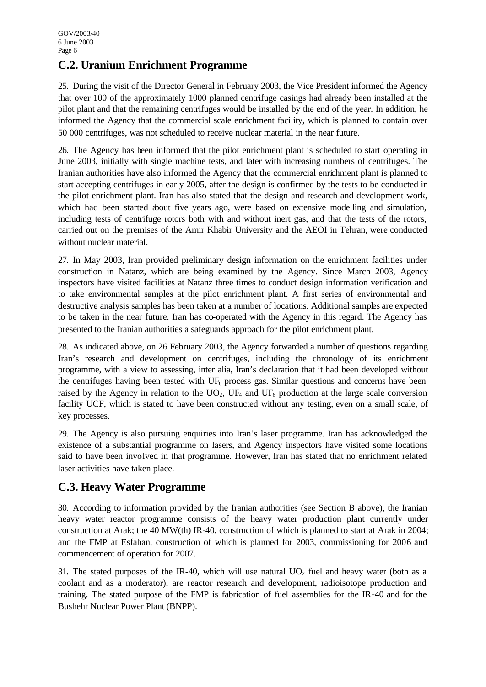### **C.2. Uranium Enrichment Programme**

25. During the visit of the Director General in February 2003, the Vice President informed the Agency that over 100 of the approximately 1000 planned centrifuge casings had already been installed at the pilot plant and that the remaining centrifuges would be installed by the end of the year. In addition, he informed the Agency that the commercial scale enrichment facility, which is planned to contain over 50 000 centrifuges, was not scheduled to receive nuclear material in the near future.

26. The Agency has been informed that the pilot enrichment plant is scheduled to start operating in June 2003, initially with single machine tests, and later with increasing numbers of centrifuges. The Iranian authorities have also informed the Agency that the commercial enrichment plant is planned to start accepting centrifuges in early 2005, after the design is confirmed by the tests to be conducted in the pilot enrichment plant. Iran has also stated that the design and research and development work, which had been started about five years ago, were based on extensive modelling and simulation, including tests of centrifuge rotors both with and without inert gas, and that the tests of the rotors, carried out on the premises of the Amir Khabir University and the AEOI in Tehran, were conducted without nuclear material.

27. In May 2003, Iran provided preliminary design information on the enrichment facilities under construction in Natanz, which are being examined by the Agency. Since March 2003, Agency inspectors have visited facilities at Natanz three times to conduct design information verification and to take environmental samples at the pilot enrichment plant. A first series of environmental and destructive analysis samples has been taken at a number of locations. Additional samples are expected to be taken in the near future. Iran has co-operated with the Agency in this regard. The Agency has presented to the Iranian authorities a safeguards approach for the pilot enrichment plant.

28. As indicated above, on 26 February 2003, the Agency forwarded a number of questions regarding Iran's research and development on centrifuges, including the chronology of its enrichment programme, with a view to assessing, inter alia, Iran's declaration that it had been developed without the centrifuges having been tested with  $UF<sub>6</sub>$  process gas. Similar questions and concerns have been raised by the Agency in relation to the  $UO<sub>2</sub>$ ,  $UF<sub>4</sub>$  and  $UF<sub>6</sub>$  production at the large scale conversion facility UCF, which is stated to have been constructed without any testing, even on a small scale, of key processes.

29. The Agency is also pursuing enquiries into Iran's laser programme. Iran has acknowledged the existence of a substantial programme on lasers, and Agency inspectors have visited some locations said to have been involved in that programme. However, Iran has stated that no enrichment related laser activities have taken place.

### **C.3. Heavy Water Programme**

30. According to information provided by the Iranian authorities (see Section B above), the Iranian heavy water reactor programme consists of the heavy water production plant currently under construction at Arak; the 40 MW(th) IR-40, construction of which is planned to start at Arak in 2004; and the FMP at Esfahan, construction of which is planned for 2003, commissioning for 2006 and commencement of operation for 2007.

31. The stated purposes of the IR-40, which will use natural  $UO<sub>2</sub>$  fuel and heavy water (both as a coolant and as a moderator), are reactor research and development, radioisotope production and training. The stated purpose of the FMP is fabrication of fuel assemblies for the IR-40 and for the Bushehr Nuclear Power Plant (BNPP).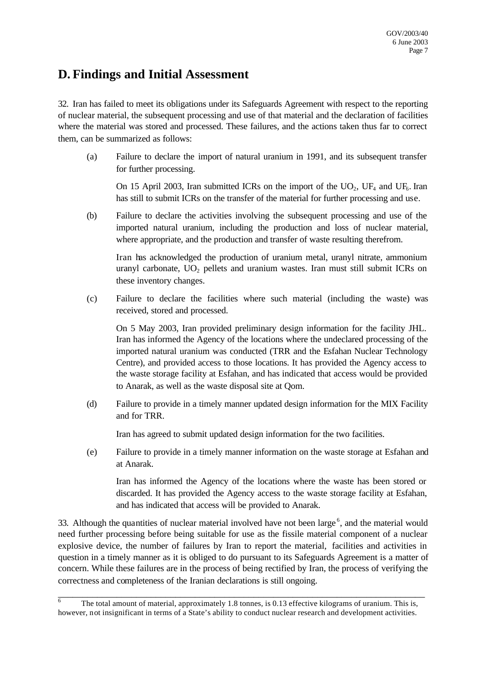## **D. Findings and Initial Assessment**

32. Iran has failed to meet its obligations under its Safeguards Agreement with respect to the reporting of nuclear material, the subsequent processing and use of that material and the declaration of facilities where the material was stored and processed. These failures, and the actions taken thus far to correct them, can be summarized as follows:

(a) Failure to declare the import of natural uranium in 1991, and its subsequent transfer for further processing.

On 15 April 2003, Iran submitted ICRs on the import of the  $UO_2$ ,  $UF_4$  and  $UF_6$ . Iran has still to submit ICRs on the transfer of the material for further processing and use.

(b) Failure to declare the activities involving the subsequent processing and use of the imported natural uranium, including the production and loss of nuclear material, where appropriate, and the production and transfer of waste resulting therefrom.

Iran has acknowledged the production of uranium metal, uranyl nitrate, ammonium uranyl carbonate,  $UO<sub>2</sub>$  pellets and uranium wastes. Iran must still submit ICRs on these inventory changes.

(c) Failure to declare the facilities where such material (including the waste) was received, stored and processed.

On 5 May 2003, Iran provided preliminary design information for the facility JHL. Iran has informed the Agency of the locations where the undeclared processing of the imported natural uranium was conducted (TRR and the Esfahan Nuclear Technology Centre), and provided access to those locations. It has provided the Agency access to the waste storage facility at Esfahan, and has indicated that access would be provided to Anarak, as well as the waste disposal site at Qom.

(d) Failure to provide in a timely manner updated design information for the MIX Facility and for TRR.

Iran has agreed to submit updated design information for the two facilities.

(e) Failure to provide in a timely manner information on the waste storage at Esfahan and at Anarak.

Iran has informed the Agency of the locations where the waste has been stored or discarded. It has provided the Agency access to the waste storage facility at Esfahan, and has indicated that access will be provided to Anarak.

33. Although the quantities of nuclear material involved have not been large<sup>6</sup>, and the material would need further processing before being suitable for use as the fissile material component of a nuclear explosive device, the number of failures by Iran to report the material, facilities and activities in question in a timely manner as it is obliged to do pursuant to its Safeguards Agreement is a matter of concern. While these failures are in the process of being rectified by Iran, the process of verifying the correctness and completeness of the Iranian declarations is still ongoing.

\_\_\_\_\_\_\_\_\_\_\_\_\_\_\_\_\_\_\_\_\_\_\_\_\_\_\_\_\_\_\_\_\_\_\_\_\_\_\_\_\_\_\_\_\_\_\_\_\_\_\_\_\_\_\_\_\_\_\_\_\_\_\_\_\_\_\_\_\_\_\_\_\_\_\_ 6 The total amount of material, approximately 1.8 tonnes, is 0.13 effective kilograms of uranium. This is, however, not insignificant in terms of a State's ability to conduct nuclear research and development activities.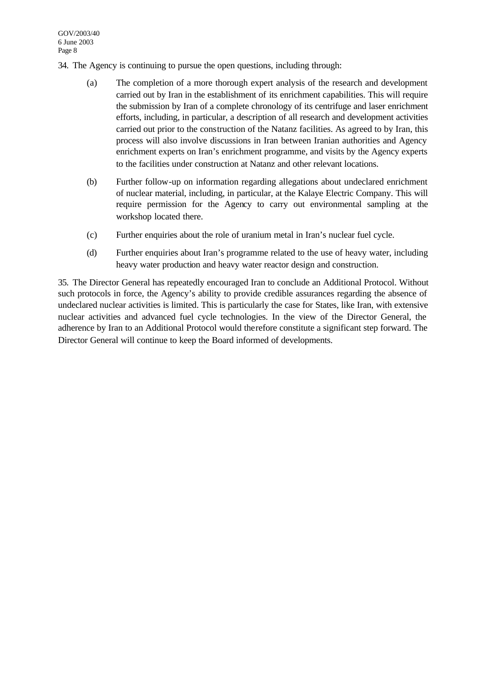- 34. The Agency is continuing to pursue the open questions, including through:
	- (a) The completion of a more thorough expert analysis of the research and development carried out by Iran in the establishment of its enrichment capabilities. This will require the submission by Iran of a complete chronology of its centrifuge and laser enrichment efforts, including, in particular, a description of all research and development activities carried out prior to the construction of the Natanz facilities. As agreed to by Iran, this process will also involve discussions in Iran between Iranian authorities and Agency enrichment experts on Iran's enrichment programme, and visits by the Agency experts to the facilities under construction at Natanz and other relevant locations.
	- (b) Further follow-up on information regarding allegations about undeclared enrichment of nuclear material, including, in particular, at the Kalaye Electric Company. This will require permission for the Agency to carry out environmental sampling at the workshop located there.
	- (c) Further enquiries about the role of uranium metal in Iran's nuclear fuel cycle.
	- (d) Further enquiries about Iran's programme related to the use of heavy water, including heavy water production and heavy water reactor design and construction.

35. The Director General has repeatedly encouraged Iran to conclude an Additional Protocol. Without such protocols in force, the Agency's ability to provide credible assurances regarding the absence of undeclared nuclear activities is limited. This is particularly the case for States, like Iran, with extensive nuclear activities and advanced fuel cycle technologies. In the view of the Director General, the adherence by Iran to an Additional Protocol would therefore constitute a significant step forward. The Director General will continue to keep the Board informed of developments.